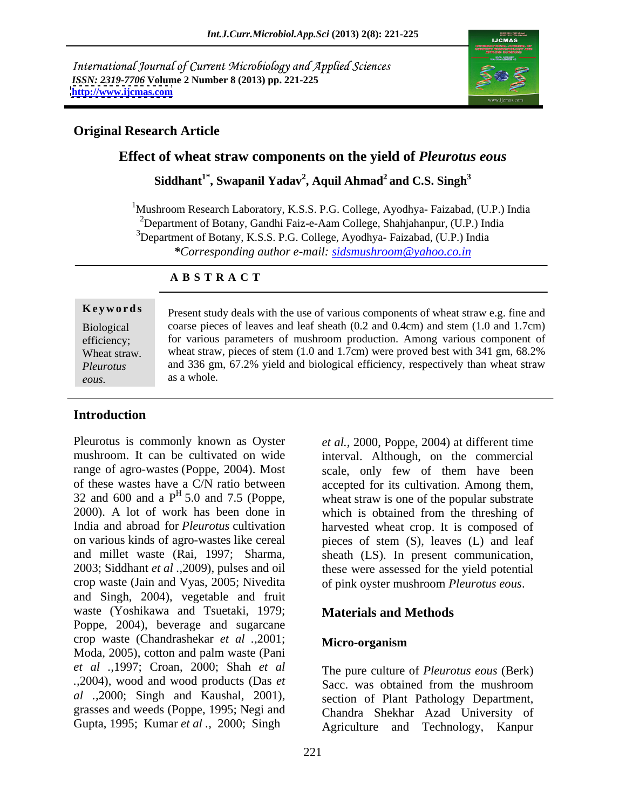International Journal of Current Microbiology and Applied Sciences *ISSN: 2319-7706* **Volume 2 Number 8 (2013) pp. 221-225 <http://www.ijcmas.com>**



## **Original Research Article**

## **Effect of wheat straw components on the yield of** *Pleurotus eous*

 $\mathbf{S}$ iddhant $^{1^*}, \mathbf{Swap}$ anil  $\mathbf{Y}$ adav $^2, \mathbf{A}$ quil  $\mathbf{A}$ hmad $^2$  and  $\mathbf{C}.\mathbf{S}.$   $\mathbf{Singh}^3$ **and C.S. Singh<sup>3</sup>**

<sup>1</sup>Mushroom Research Laboratory, K.S.S. P.G. College, Ayodhya- Faizabad, (U.P.) India <sup>2</sup>Department of Botany, Gandhi Faiz-e-Aam College, Shahjahanpur, (U.P.) India <sup>3</sup>Department of Botany, K.S.S. P.G. College, Ayodhya- Faizabad, (U.P.) India *\*Corresponding author e-mail: sidsmushroom@yahoo.co.in*

### **A B S T R A C T**

**Keywords** Present study deals with the use of various components of wheat straw e.g. fine and Biological coarse pieces of leaves and leaf sheath (0.2 and 0.4cm) and stem (1.0 and 1.7cm) efficiency; for various parameters of mushroom production. Among various component of Wheat straw. wheat straw, pieces of stem  $(1.0 \text{ and } 1.7 \text{cm})$  were proved best with 341 gm, 68.2% *Pleurotus*  and 336 gm, 67.2% yield and biological efficiency, respectively than wheat straw **Exercise**<br> **Exercise 18** Present study deals with the use of various components of wheat straw e.g. fine and<br>
coarse pieces of leaves and leaf sheath (0.2 and 0.4cm) and stem (1.0 and 1.7cm)<br>
for various parameters of mus as a whole.

### **Introduction**

Pleurotus is commonly known as Oyster *et al.,* 2000, Poppe, 2004) at different time mushroom. It can be cultivated on wide interval. Although, on the commercial range of agro-wastes (Poppe, 2004). Most scale, only few of them have been of these wastes have a C/N ratio between 32 and 600 and a  $P<sup>H</sup> 5.0$  and 7.5 (Poppe, 2000). A lot of work has been done in 2000). A lot of work has been done in which is obtained from the threshing of India and abroad for *Pleurotus* cultivation harvested wheat crop. It is composed of on various kinds of agro-wastes like cereal pieces of stem (S), leaves (L) and leaf and millet waste (Rai, 1997; Sharma, sheath (LS). In present communication, 2003; Siddhant *et al .,*2009), pulses and oil these were assessed for the yield potential crop waste (Jain and Vyas, 2005; Nivedita of pink oyster mushroom *Pleurotus eous*. and Singh, 2004), vegetable and fruit waste (Yoshikawa and Tsuetaki, 1979; Poppe, 2004), beverage and sugarcane crop waste (Chandrashekar *et al .,*2001; Moda, 2005), cotton and palm waste (Pani *et al .,*1997; Croan, 2000; Shah *et al .,*2004), wood and wood products (Das *et al .,*2000; Singh and Kaushal, 2001), grasses and weeds (Poppe, 1995; Negi and

5.0 and 7.5 (Poppe, wheat straw is one of the popular substrate accepted for its cultivation. Among them,

# **Materials and Methods**

### **Micro-organism**

Gupta, 1995; Kumar *et al .,* 2000; Singh Agriculture and Technology, Kanpur The pure culture of *Pleurotus eous* (Berk) Sacc. was obtained from the mushroom section of Plant Pathology Department, Chandra Shekhar Azad University of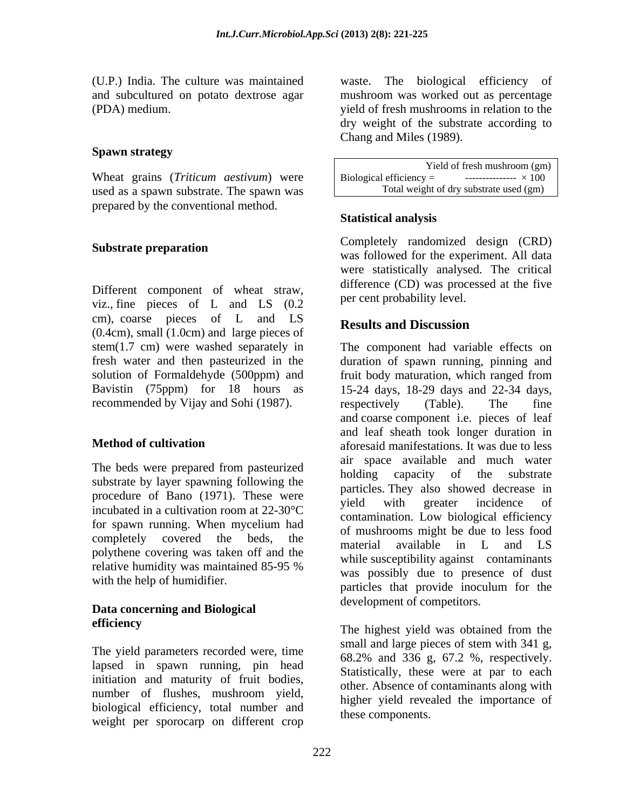### **Spawn strategy**

Wheat grains (*Triticum aestivum*) were Biological efficiency =  $\frac{100}{200}$ used as a spawn substrate. The spawn was prepared by the conventional method.

Different component of wheat straw, viz., fine pieces of L and LS (0.2 cm), coarse pieces of L and LS (0.4cm), small (1.0cm) and large pieces of stem(1.7 cm) were washed separately in solution of Formaldehyde (500ppm) and fruit body maturation, which ranged from recommended by Vijay and Sohi (1987). The respectively (Table). The fine

The beds were prepared from pasteurized<br>holding capacity of the substrate substrate by layer spawning following the procedure of Bano (1971). These were vield with greater incidence of for spawn running. When mycelium had completely covered the beds, the material available in L and LS polythene covering was taken off and the

## **Data concerning and Biological efficiency** The bighest viald wes obtained from the

lapsed in spawn running, pin head initiation and maturity of fruit bodies, biological efficiency, total number and weight per sporocarp on different crop

(U.P.) India. The culture was maintained waste. The biological efficiency of and subcultured on potato dextrose agar mushroom was worked out as percentage (PDA) medium. yield of fresh mushrooms in relation to the dry weight of the substrate according to Chang and Miles (1989).

> Yield of fresh mushroom (gm) Biological efficiency =  $\qquad \qquad$  ---------------  $\times 100$ Total weight of dry substrate used (gm)

## **Statistical analysis**

**Substrate preparation** completely randomized design (CKD) Completely randomized design (CRD) was followed for the experiment. All data were statistically analysed. The critical difference (CD) was processed at the five per cent probability level.

# **Results and Discussion**

fresh water and then pasteurized in the duration of spawn running, pinning and Bavistin (75ppm) for 18 hours as 15-24 days, 18-29 days and 22-34 days, **Method of cultivation** aforesaid manifestations. It was due to less incubated in a cultivation room at  $22{\text -}30^{\circ}\text{C}$  and the settential settence of  $\text{L}$ relative humidity was maintained 85-95 % with the help of humidifier.<br>
particles that provide inoculum for the The component had variable effects on fruit body maturation, which ranged from respectively (Table). The fine and coarse component i.e. pieces of leaf and leaf sheath took longer duration in air space available and much water holding capacity of the substrate particles. They also showed decrease in yield with greater incidence of contamination. Low biological efficiency of mushrooms might be due to less food material available in L and LS while susceptibility against contaminants was possibly due to presence of dust development of competitors.

The yield parameters recorded were, time<br> $\frac{\text{small and large pieces of stem with 341 g}}{69.2\% \text{ rad}^{22}\% \text{ g}}$ number of flushes, mushroom yield, bigher yield revealed the importance of The highest yield was obtained from the small and large pieces of stem with 341 g, 68.2% and 336 g, 67.2 %, respectively. Statistically, these were at par to each other. Absence of contaminants along with higher yield revealed the importance of these components.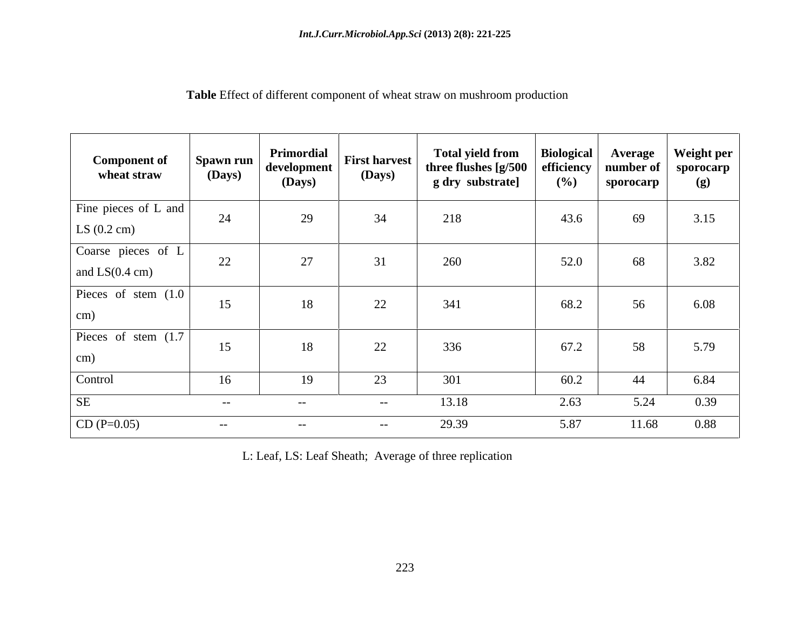| Table Effect<br>ct of different component of wheat straw on mushroom production |
|---------------------------------------------------------------------------------|
|---------------------------------------------------------------------------------|

| <b>Component of</b><br>wheat straw             | Spawn run<br>(Days) | Primordial<br>  development  <br>(Days) | <b>First harvest</b><br>(Days) | <b>Total yield from</b><br>three flushes [g/500<br>g dry substrate] | <b>Biological</b><br>efficiency<br>(%) | <b>Average</b><br>number of<br>sporocarp | Weight per<br>sporocarp<br>(g) |
|------------------------------------------------|---------------------|-----------------------------------------|--------------------------------|---------------------------------------------------------------------|----------------------------------------|------------------------------------------|--------------------------------|
| Fine pieces of L and<br>LS $(0.2 \text{ cm})$  | 24                  | 29                                      | 34                             | 218                                                                 | 43.6                                   | 69                                       | 3.15                           |
| Coarse pieces of L<br>and $LS(0.4 \text{ cm})$ | 22                  | 27                                      | 31                             | 260                                                                 | 52.0                                   | 68                                       | 3.82                           |
| Pieces of stem (1.0)<br>cm)                    | 15                  | 18                                      | 22                             | 341                                                                 | 68.2                                   | 56                                       | 6.08                           |
| Pieces of stem (1.7)<br>cm)                    | 15                  | 18                                      | 22                             | 336                                                                 | 67.2                                   | 58                                       | 5.79                           |
| Control                                        | 16                  | 19                                      | 23                             | 301                                                                 | 60.2                                   | 44                                       | 6.84                           |
| SE                                             | $ -$                | $  \,$                                  | $--$                           | 13.18                                                               | 2.63                                   | 5.24                                     | 0.39                           |
| $CD (P=0.05)$                                  | $- -$               | $- \,$                                  | $--$                           | 29.39                                                               | 5.87                                   | 11.68                                    | 0.88                           |

L: Leaf, LS: Leaf Sheath; Average of three replication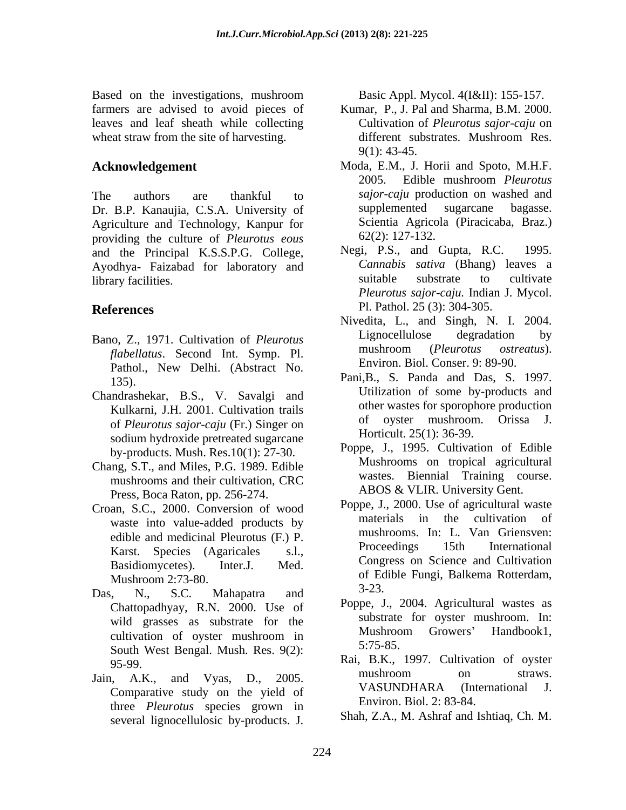Based on the investigations, mushroom Basic Appl. Mycol. 4(I&II): 155-157. farmers are advised to avoid pieces of leaves and leaf sheath while collecting wheat straw from the site of harvesting.  $\qquad \qquad$  different substrates. Mushroom Res.

The authors are thankful to *sajor-caju* production on washed and<br>Dr. B.P. Kanaujia, C.S.A. University of supplemented sugarcane bagasse. Agriculture and Technology, Kanpur for providing the culture of *Pleurotus eous* 62(2): 127-132.<br>and the Principal KSSPG College Negi, P.S., and Gupta, R.C. 1995. and the Principal K.S.S.P.G. College, Ayodhya- Faizabad for laboratory and *Cannabis sativa* (Bhang) leaves a<br>library facilities library facilities.

- *flabellatus*. Second Int. Symp. Pl. Pathol., New Delhi. (Abstract No.
- Chandrashekar, B.S., V. Savalgi and of *Pleurotus sajor*-*caju* (Fr.) Singer on sodium hydroxide pretreated sugarcane by-products. Mush. Res.10(1): 27-30.
- Chang, S.T., and Miles, P.G. 1989. Edible Mushroot Mushroot much come and their cultivation CBC wastes. Press, Boca Raton, pp. 256-274.
- Croan, S.C., 2000. Conversion of wood<br>materials in the cultivation of work of the cultivation of waste into value-added products by Karst. Species (Agaricales s.l.,
- Das, N., S.C. Mahapatra and  $5-25$ . Chattopadhyay, R.N. 2000. Use of South West Bengal. Mush. Res. 9(2): 5:75-85.
- three *Pleurotus* species grown in

- Kumar, P., J. Pal and Sharma, B.M. 2000. Cultivation of *Pleurotus sajor-caju* on different substrates. Mushroom Res. 9(1): 43-45.
- **Acknowledgement**  Moda, E.M., J. Horii and Spoto, M.H.F. 2005. Edible mushroom *Pleurotus sajor-caju* production on washed and supplemented sugarcane bagasse. Scientia Agricola (Piracicaba, Braz.) 62(2): 127-132.
- **References** PI. Pathol. 25 (3): 304-305. Negi, P.S., and Gupta, R.C. *Cannabis sativa* (Bhang) leaves a suitable substrate to cultivate *Pleurotus sajor-caju.* Indian J. Mycol. Pl. Pathol. 25 (3): 304-305.
- Bano, Z., 1971. Cultivation of *Pleurotus* Lignocellulose degradation by the flabellatus Second Int Sympa Pl Nivedita, L., and Singh, N. I. 2004. Lignocellulose degradation by mushroom (*Pleurotus ostreatus*). Environ. Biol. Conser. 9: 89-90.
	- Pani, B., S. Panda and Das, S. 1997. Kulkarni, J.H. 2001. Cultivation trails<br>
	of ovster mushroom. Orissa J. Utilization of some by-products and other wastes for sporophore production of oyster mushroom. Horticult. 25(1): 36-39.
	- mushrooms and their cultivation, CRC wastes. Blenniai Fraining course. Poppe, J., 1995. Cultivation of Edible Mushrooms on tropical agricultural Biennial Training course. ABOS & VLIR. University Gent.
- edible and medicinal Pleurotus (F.) P.<br>
Froceedings 15th International<br>
Proceedings 15th International Basidiomycetes). Inter.J. Med. Congress on Science and Cultivation Mushroom 2:73-80. of Edible Fungi, Balkema Rotterdam, d can the investigations, mushroom  $\mathbb{R}$ . Basic Appl. Mycol. 4(I&II): 155-157.<br>
es and lead sheath while collecting contribution of *Fearing* bar, and lead sheath while collecting contribution of *Fearing* bar, and the Poppe, J., 2000. Use of agricultural waste materials in the cultivation of mushrooms. In: L. Van Griensven: Proceedings 15th International 3-23.
	- wild grasses as substrate for the substrate for substrate or oyster mushroom. In:<br>Mushroom Growers' Handbook1. cultivation of oyster mushroom in  $\frac{M}{6}$   $\frac{M}{6}$   $\frac{M}{6}$   $\frac{M}{6}$   $\frac{M}{6}$   $\frac{M}{6}$   $\frac{M}{6}$   $\frac{M}{6}$   $\frac{M}{6}$   $\frac{M}{6}$   $\frac{M}{6}$   $\frac{M}{6}$   $\frac{M}{6}$   $\frac{M}{6}$   $\frac{M}{6}$   $\frac{M}{6}$   $\frac{M}{6}$   $\frac{M}{6}$   $\frac{M}{6$ Poppe, J., 2004. Agricultural wastes as substrate for oyster mushroom. In: Mushroom Growers' Handbook1, 5:75-85.
- $95-99.$  Rai, B.K., 1997. Cultivation of oyster Jain, A.K., and Vyas, D., 2005. Comparative study on the yield of VASUNDHARA (International J. mushroom on straws. VASUNDHARA (International J. Environ. Biol. 2: 83-84.
	- Shah, Z.A., M. Ashraf and Ishtiaq, Ch. M.